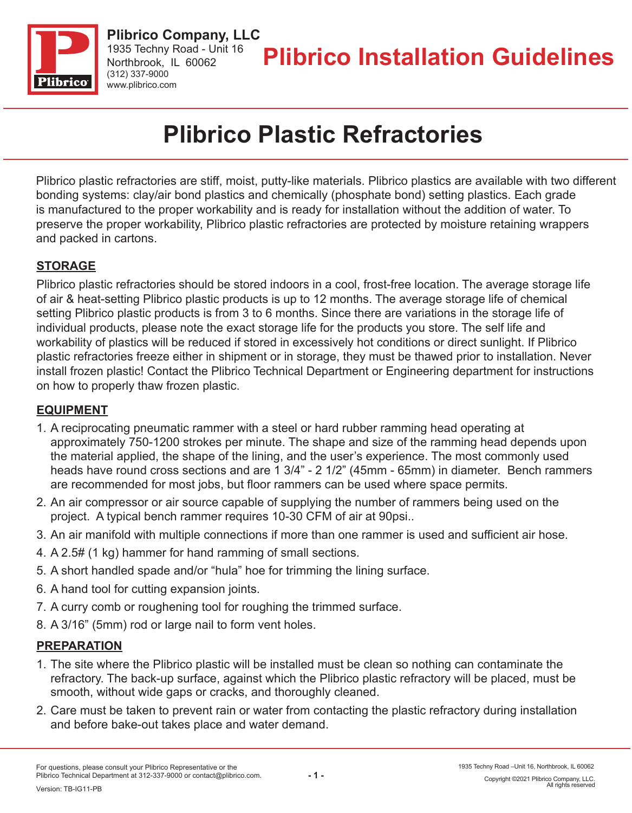

# **Plibrico Plastic Refractories**

Plibrico plastic refractories are stiff, moist, putty-like materials. Plibrico plastics are available with two different bonding systems: clay/air bond plastics and chemically (phosphate bond) setting plastics. Each grade is manufactured to the proper workability and is ready for installation without the addition of water. To preserve the proper workability, Plibrico plastic refractories are protected by moisture retaining wrappers and packed in cartons.

# **STORAGE**

Plibrico plastic refractories should be stored indoors in a cool, frost-free location. The average storage life of air & heat-setting Plibrico plastic products is up to 12 months. The average storage life of chemical setting Plibrico plastic products is from 3 to 6 months. Since there are variations in the storage life of individual products, please note the exact storage life for the products you store. The self life and workability of plastics will be reduced if stored in excessively hot conditions or direct sunlight. If Plibrico plastic refractories freeze either in shipment or in storage, they must be thawed prior to installation. Never install frozen plastic! Contact the Plibrico Technical Department or Engineering department for instructions on how to properly thaw frozen plastic.

#### **EQUIPMENT**

- 1. A reciprocating pneumatic rammer with a steel or hard rubber ramming head operating at approximately 750-1200 strokes per minute. The shape and size of the ramming head depends upon the material applied, the shape of the lining, and the user's experience. The most commonly used heads have round cross sections and are 1 3/4" - 2 1/2" (45mm - 65mm) in diameter. Bench rammers are recommended for most jobs, but floor rammers can be used where space permits.
- 2. An air compressor or air source capable of supplying the number of rammers being used on the project. A typical bench rammer requires 10-30 CFM of air at 90psi..
- 3. An air manifold with multiple connections if more than one rammer is used and sufficient air hose.
- 4. A 2.5# (1 kg) hammer for hand ramming of small sections.
- 5. A short handled spade and/or "hula" hoe for trimming the lining surface.
- 6. A hand tool for cutting expansion joints.
- 7. A curry comb or roughening tool for roughing the trimmed surface.
- 8. A 3/16" (5mm) rod or large nail to form vent holes.

#### **PREPARATION**

- 1. The site where the Plibrico plastic will be installed must be clean so nothing can contaminate the refractory. The back-up surface, against which the Plibrico plastic refractory will be placed, must be smooth, without wide gaps or cracks, and thoroughly cleaned.
- 2. Care must be taken to prevent rain or water from contacting the plastic refractory during installation and before bake-out takes place and water demand.

Copyright ©2021 Plibrico Company, LLC. All rights reserved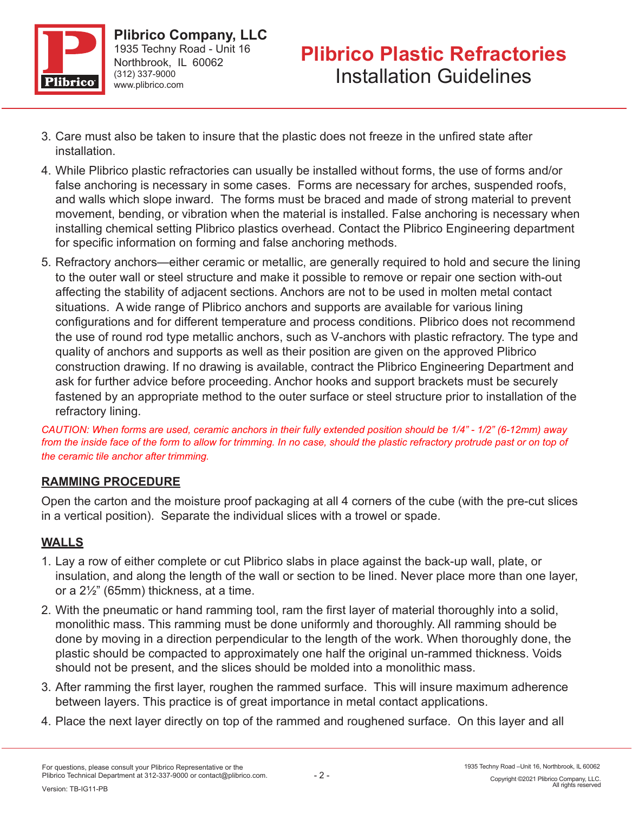

- 3. Care must also be taken to insure that the plastic does not freeze in the unfired state after installation.
- 4. While Plibrico plastic refractories can usually be installed without forms, the use of forms and/or false anchoring is necessary in some cases. Forms are necessary for arches, suspended roofs, and walls which slope inward. The forms must be braced and made of strong material to prevent movement, bending, or vibration when the material is installed. False anchoring is necessary when installing chemical setting Plibrico plastics overhead. Contact the Plibrico Engineering department for specific information on forming and false anchoring methods.
- 5. Refractory anchors—either ceramic or metallic, are generally required to hold and secure the lining to the outer wall or steel structure and make it possible to remove or repair one section with-out affecting the stability of adjacent sections. Anchors are not to be used in molten metal contact situations. A wide range of Plibrico anchors and supports are available for various lining configurations and for different temperature and process conditions. Plibrico does not recommend the use of round rod type metallic anchors, such as V-anchors with plastic refractory. The type and quality of anchors and supports as well as their position are given on the approved Plibrico construction drawing. If no drawing is available, contract the Plibrico Engineering Department and ask for further advice before proceeding. Anchor hooks and support brackets must be securely fastened by an appropriate method to the outer surface or steel structure prior to installation of the refractory lining.

*CAUTION: When forms are used, ceramic anchors in their fully extended position should be 1/4" - 1/2" (6-12mm) away*  from the inside face of the form to allow for trimming. In no case, should the plastic refractory protrude past or on top of *the ceramic tile anchor after trimming.*

# **RAMMING PROCEDURE**

Open the carton and the moisture proof packaging at all 4 corners of the cube (with the pre-cut slices in a vertical position). Separate the individual slices with a trowel or spade.

# **WALLS**

- 1. Lay a row of either complete or cut Plibrico slabs in place against the back-up wall, plate, or insulation, and along the length of the wall or section to be lined. Never place more than one layer, or a 2½" (65mm) thickness, at a time.
- 2. With the pneumatic or hand ramming tool, ram the first layer of material thoroughly into a solid, monolithic mass. This ramming must be done uniformly and thoroughly. All ramming should be done by moving in a direction perpendicular to the length of the work. When thoroughly done, the plastic should be compacted to approximately one half the original un-rammed thickness. Voids should not be present, and the slices should be molded into a monolithic mass.
- 3. After ramming the first layer, roughen the rammed surface. This will insure maximum adherence between layers. This practice is of great importance in metal contact applications.
- 4. Place the next layer directly on top of the rammed and roughened surface. On this layer and all

All rights reser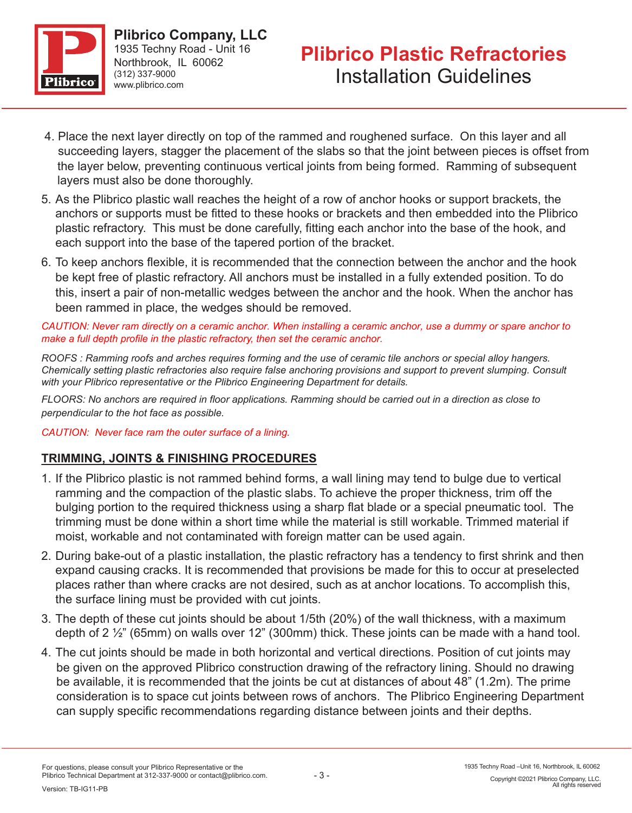

- 4. Place the next layer directly on top of the rammed and roughened surface. On this layer and all succeeding layers, stagger the placement of the slabs so that the joint between pieces is offset from the layer below, preventing continuous vertical joints from being formed. Ramming of subsequent layers must also be done thoroughly.
- 5. As the Plibrico plastic wall reaches the height of a row of anchor hooks or support brackets, the anchors or supports must be fitted to these hooks or brackets and then embedded into the Plibrico plastic refractory. This must be done carefully, fitting each anchor into the base of the hook, and each support into the base of the tapered portion of the bracket.
- 6. To keep anchors flexible, it is recommended that the connection between the anchor and the hook be kept free of plastic refractory. All anchors must be installed in a fully extended position. To do this, insert a pair of non-metallic wedges between the anchor and the hook. When the anchor has been rammed in place, the wedges should be removed.

*CAUTION: Never ram directly on a ceramic anchor. When installing a ceramic anchor, use a dummy or spare anchor to make a full depth profile in the plastic refractory, then set the ceramic anchor.* 

*ROOFS : Ramming roofs and arches requires forming and the use of ceramic tile anchors or special alloy hangers. Chemically setting plastic refractories also require false anchoring provisions and support to prevent slumping. Consult with your Plibrico representative or the Plibrico Engineering Department for details.* 

*FLOORS: No anchors are required in floor applications. Ramming should be carried out in a direction as close to perpendicular to the hot face as possible.* 

#### *CAUTION: Never face ram the outer surface of a lining.*

#### **TRIMMING, JOINTS & FINISHING PROCEDURES**

- 1. If the Plibrico plastic is not rammed behind forms, a wall lining may tend to bulge due to vertical ramming and the compaction of the plastic slabs. To achieve the proper thickness, trim off the bulging portion to the required thickness using a sharp flat blade or a special pneumatic tool. The trimming must be done within a short time while the material is still workable. Trimmed material if moist, workable and not contaminated with foreign matter can be used again.
- 2. During bake-out of a plastic installation, the plastic refractory has a tendency to first shrink and then expand causing cracks. It is recommended that provisions be made for this to occur at preselected places rather than where cracks are not desired, such as at anchor locations. To accomplish this, the surface lining must be provided with cut joints.
- 3. The depth of these cut joints should be about 1/5th (20%) of the wall thickness, with a maximum depth of 2 ½" (65mm) on walls over 12" (300mm) thick. These joints can be made with a hand tool.
- 4. The cut joints should be made in both horizontal and vertical directions. Position of cut joints may be given on the approved Plibrico construction drawing of the refractory lining. Should no drawing be available, it is recommended that the joints be cut at distances of about 48" (1.2m). The prime consideration is to space cut joints between rows of anchors. The Plibrico Engineering Department can supply specific recommendations regarding distance between joints and their depths.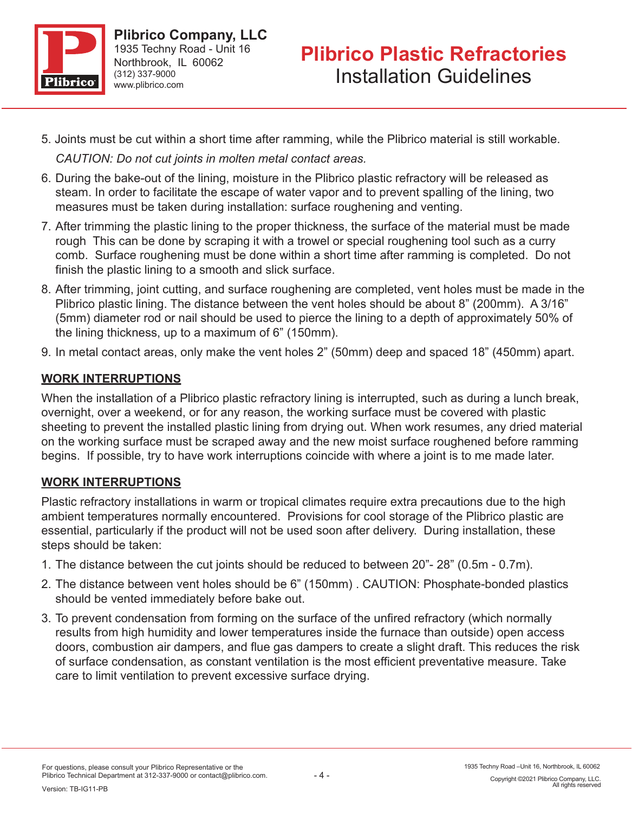

- 5. Joints must be cut within a short time after ramming, while the Plibrico material is still workable. *CAUTION: Do not cut joints in molten metal contact areas.*
- 6. During the bake-out of the lining, moisture in the Plibrico plastic refractory will be released as steam. In order to facilitate the escape of water vapor and to prevent spalling of the lining, two measures must be taken during installation: surface roughening and venting.
- 7. After trimming the plastic lining to the proper thickness, the surface of the material must be made rough This can be done by scraping it with a trowel or special roughening tool such as a curry comb. Surface roughening must be done within a short time after ramming is completed. Do not finish the plastic lining to a smooth and slick surface.
- 8. After trimming, joint cutting, and surface roughening are completed, vent holes must be made in the Plibrico plastic lining. The distance between the vent holes should be about 8" (200mm). A 3/16" (5mm) diameter rod or nail should be used to pierce the lining to a depth of approximately 50% of the lining thickness, up to a maximum of 6" (150mm).
- 9. In metal contact areas, only make the vent holes 2" (50mm) deep and spaced 18" (450mm) apart.

# **WORK INTERRUPTIONS**

When the installation of a Plibrico plastic refractory lining is interrupted, such as during a lunch break, overnight, over a weekend, or for any reason, the working surface must be covered with plastic sheeting to prevent the installed plastic lining from drying out. When work resumes, any dried material on the working surface must be scraped away and the new moist surface roughened before ramming begins. If possible, try to have work interruptions coincide with where a joint is to me made later.

# **WORK INTERRUPTIONS**

Plastic refractory installations in warm or tropical climates require extra precautions due to the high ambient temperatures normally encountered. Provisions for cool storage of the Plibrico plastic are essential, particularly if the product will not be used soon after delivery. During installation, these steps should be taken:

- 1. The distance between the cut joints should be reduced to between 20"- 28" (0.5m 0.7m).
- 2. The distance between vent holes should be 6" (150mm) . CAUTION: Phosphate-bonded plastics should be vented immediately before bake out.
- 3. To prevent condensation from forming on the surface of the unfired refractory (which normally results from high humidity and lower temperatures inside the furnace than outside) open access doors, combustion air dampers, and flue gas dampers to create a slight draft. This reduces the risk of surface condensation, as constant ventilation is the most efficient preventative measure. Take care to limit ventilation to prevent excessive surface drying.